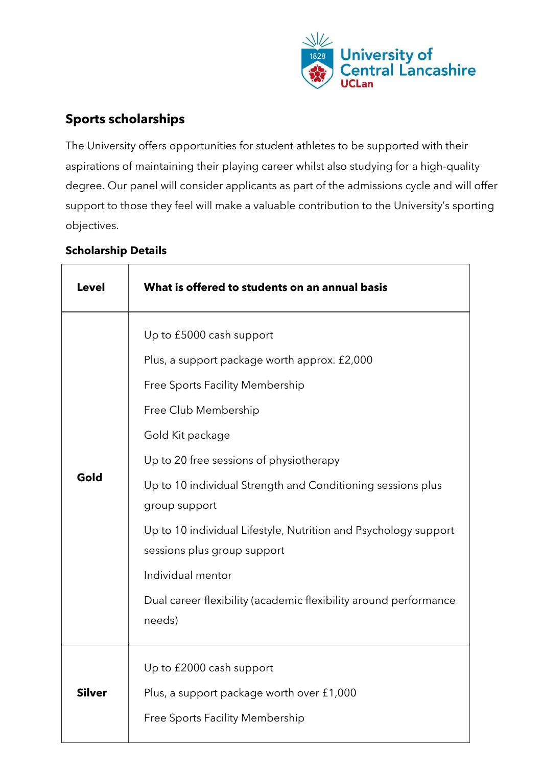

# **Sports scholarships**

The University offers opportunities for student athletes to be supported with their aspirations of maintaining their playing career whilst also studying for a high-quality degree. Our panel will consider applicants as part of the admissions cycle and will offer support to those they feel will make a valuable contribution to the University's sporting objectives.

| <b>Level</b>  | What is offered to students on an annual basis                                                                                                                                                                                                                                                                                                                                                                                                                                                 |
|---------------|------------------------------------------------------------------------------------------------------------------------------------------------------------------------------------------------------------------------------------------------------------------------------------------------------------------------------------------------------------------------------------------------------------------------------------------------------------------------------------------------|
| Gold          | Up to £5000 cash support<br>Plus, a support package worth approx. £2,000<br><b>Free Sports Facility Membership</b><br>Free Club Membership<br>Gold Kit package<br>Up to 20 free sessions of physiotherapy<br>Up to 10 individual Strength and Conditioning sessions plus<br>group support<br>Up to 10 individual Lifestyle, Nutrition and Psychology support<br>sessions plus group support<br>Individual mentor<br>Dual career flexibility (academic flexibility around performance<br>needs) |
| <b>Silver</b> | Up to £2000 cash support<br>Plus, a support package worth over £1,000<br><b>Free Sports Facility Membership</b>                                                                                                                                                                                                                                                                                                                                                                                |

# **Scholarship Details**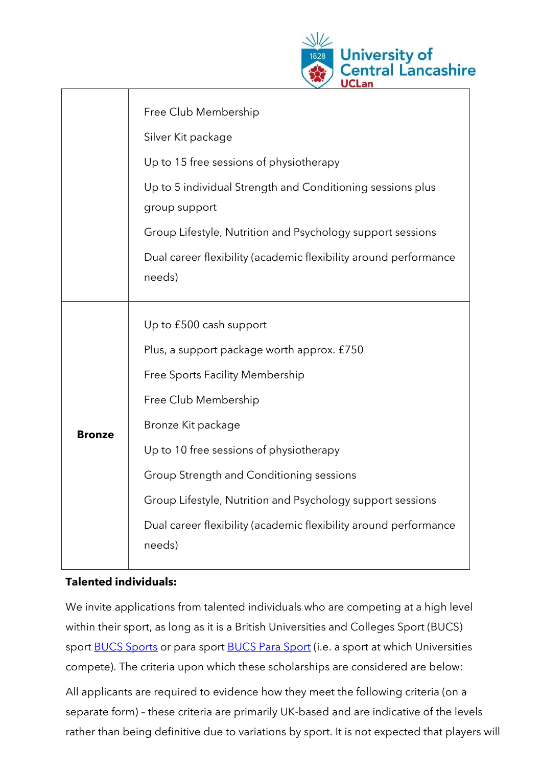

|               | Free Club Membership                                                        |
|---------------|-----------------------------------------------------------------------------|
|               | Silver Kit package                                                          |
|               | Up to 15 free sessions of physiotherapy                                     |
|               | Up to 5 individual Strength and Conditioning sessions plus<br>group support |
|               | Group Lifestyle, Nutrition and Psychology support sessions                  |
|               | Dual career flexibility (academic flexibility around performance<br>needs)  |
|               | Up to £500 cash support                                                     |
|               | Plus, a support package worth approx. £750                                  |
|               | Free Sports Facility Membership                                             |
|               | Free Club Membership                                                        |
| <b>Bronze</b> | Bronze Kit package                                                          |
|               | Up to 10 free sessions of physiotherapy                                     |
|               | Group Strength and Conditioning sessions                                    |
|               | Group Lifestyle, Nutrition and Psychology support sessions                  |
|               | Dual career flexibility (academic flexibility around performance<br>needs)  |
|               |                                                                             |

#### **Talented individuals:**

We invite applications from talented individuals who are competing at a high level within their sport, as long as it is a British Universities and Colleges Sport (BUCS) sport [BUCS Sports](https://www.bucs.org.uk/compete/sports.html) or para sport [BUCS Para Sport](https://www.bucs.org.uk/compete/sports/para-sport.html) (i.e. a sport at which Universities compete). The criteria upon which these scholarships are considered are below:

All applicants are required to evidence how they meet the following criteria (on a separate form) – these criteria are primarily UK-based and are indicative of the levels rather than being definitive due to variations by sport. It is not expected that players will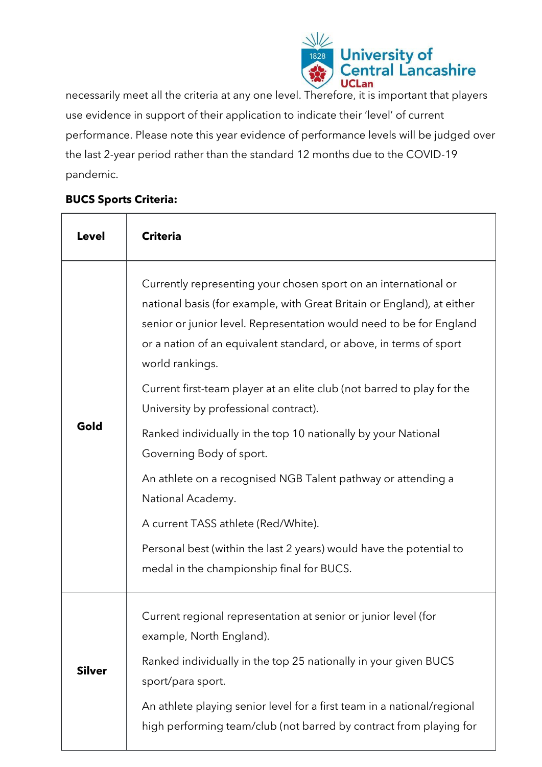

necessarily meet all the criteria at any one level. Therefore, it is important that players use evidence in support of their application to indicate their 'level' of current performance. Please note this year evidence of performance levels will be judged over the last 2-year period rather than the standard 12 months due to the COVID-19 pandemic.

### **BUCS Sports Criteria:**

| Level         | <b>Criteria</b>                                                                                                                                                                                                                                                                                                                                                                                                                                                                                                                                                                                                                                                                                                                                                           |
|---------------|---------------------------------------------------------------------------------------------------------------------------------------------------------------------------------------------------------------------------------------------------------------------------------------------------------------------------------------------------------------------------------------------------------------------------------------------------------------------------------------------------------------------------------------------------------------------------------------------------------------------------------------------------------------------------------------------------------------------------------------------------------------------------|
| Gold          | Currently representing your chosen sport on an international or<br>national basis (for example, with Great Britain or England), at either<br>senior or junior level. Representation would need to be for England<br>or a nation of an equivalent standard, or above, in terms of sport<br>world rankings.<br>Current first-team player at an elite club (not barred to play for the<br>University by professional contract).<br>Ranked individually in the top 10 nationally by your National<br>Governing Body of sport.<br>An athlete on a recognised NGB Talent pathway or attending a<br>National Academy.<br>A current TASS athlete (Red/White).<br>Personal best (within the last 2 years) would have the potential to<br>medal in the championship final for BUCS. |
| <b>Silver</b> | Current regional representation at senior or junior level (for<br>example, North England).<br>Ranked individually in the top 25 nationally in your given BUCS<br>sport/para sport.<br>An athlete playing senior level for a first team in a national/regional<br>high performing team/club (not barred by contract from playing for                                                                                                                                                                                                                                                                                                                                                                                                                                       |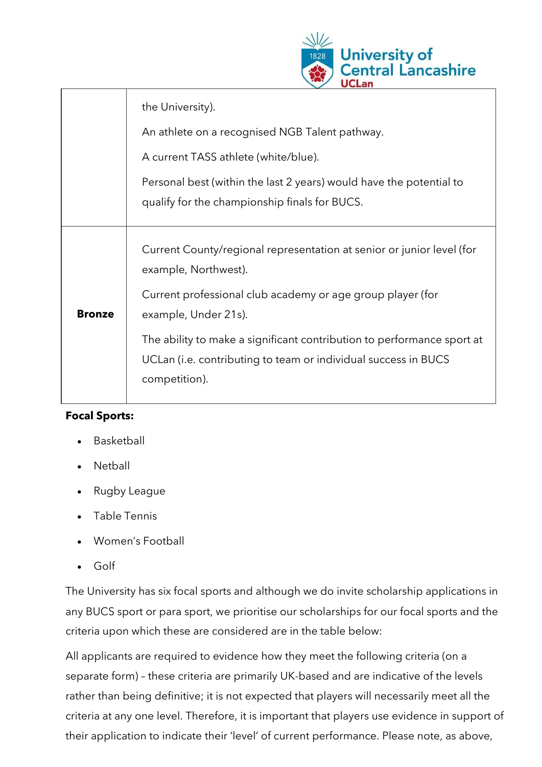

|               | the University).                                                                                                                                          |
|---------------|-----------------------------------------------------------------------------------------------------------------------------------------------------------|
|               | An athlete on a recognised NGB Talent pathway.                                                                                                            |
|               | A current TASS athlete (white/blue).                                                                                                                      |
|               | Personal best (within the last 2 years) would have the potential to<br>qualify for the championship finals for BUCS.                                      |
|               | Current County/regional representation at senior or junior level (for<br>example, Northwest).                                                             |
| <b>Bronze</b> | Current professional club academy or age group player (for<br>example, Under 21s).                                                                        |
|               | The ability to make a significant contribution to performance sport at<br>UCLan (i.e. contributing to team or individual success in BUCS<br>competition). |

### **Focal Sports:**

- **Basketball**
- **Netball**
- Rugby League
- Table Tennis
- Women's Football
- Golf

The University has six focal sports and although we do invite scholarship applications in any BUCS sport or para sport, we prioritise our scholarships for our focal sports and the criteria upon which these are considered are in the table below:

All applicants are required to evidence how they meet the following criteria (on a separate form) – these criteria are primarily UK-based and are indicative of the levels rather than being definitive; it is not expected that players will necessarily meet all the criteria at any one level. Therefore, it is important that players use evidence in support of their application to indicate their 'level' of current performance. Please note, as above,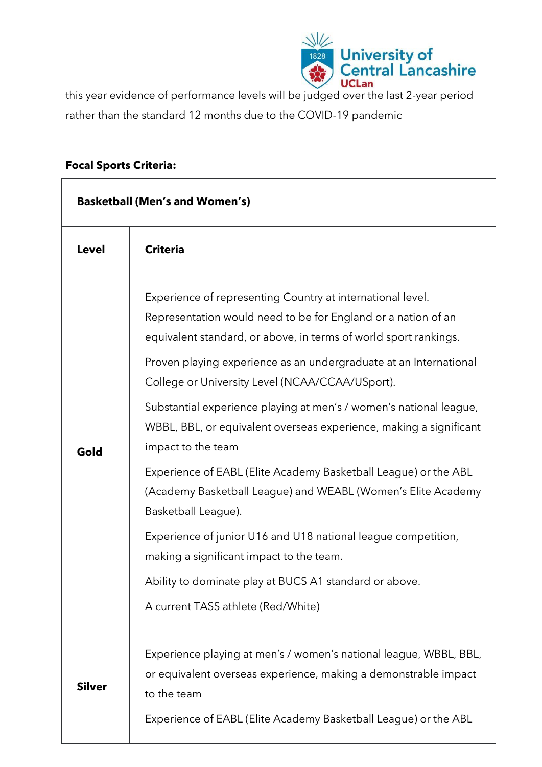

this year evidence of performance levels will be judged over the last 2-year period rather than the standard 12 months due to the COVID-19 pandemic

#### **Focal Sports Criteria:**

| <b>Basketball (Men's and Women's)</b> |                                                                                                                                                                                                                                                                                                                                                                                                                                                                                           |
|---------------------------------------|-------------------------------------------------------------------------------------------------------------------------------------------------------------------------------------------------------------------------------------------------------------------------------------------------------------------------------------------------------------------------------------------------------------------------------------------------------------------------------------------|
| <b>Level</b>                          | <b>Criteria</b>                                                                                                                                                                                                                                                                                                                                                                                                                                                                           |
| Gold                                  | Experience of representing Country at international level.<br>Representation would need to be for England or a nation of an<br>equivalent standard, or above, in terms of world sport rankings.<br>Proven playing experience as an undergraduate at an International<br>College or University Level (NCAA/CCAA/USport).<br>Substantial experience playing at men's / women's national league,<br>WBBL, BBL, or equivalent overseas experience, making a significant<br>impact to the team |
|                                       | Experience of EABL (Elite Academy Basketball League) or the ABL<br>(Academy Basketball League) and WEABL (Women's Elite Academy<br>Basketball League).                                                                                                                                                                                                                                                                                                                                    |
|                                       | Experience of junior U16 and U18 national league competition,<br>making a significant impact to the team.                                                                                                                                                                                                                                                                                                                                                                                 |
|                                       | Ability to dominate play at BUCS A1 standard or above.<br>A current TASS athlete (Red/White)                                                                                                                                                                                                                                                                                                                                                                                              |
| <b>Silver</b>                         | Experience playing at men's / women's national league, WBBL, BBL,<br>or equivalent overseas experience, making a demonstrable impact<br>to the team<br>Experience of EABL (Elite Academy Basketball League) or the ABL                                                                                                                                                                                                                                                                    |
|                                       |                                                                                                                                                                                                                                                                                                                                                                                                                                                                                           |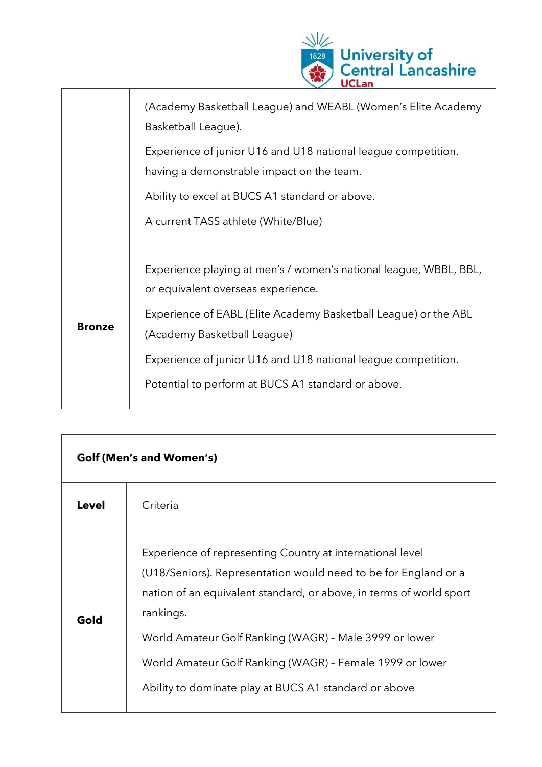

|               | (Academy Basketball League) and WEABL (Women's Elite Academy<br>Basketball League).                                                                                                                                                                                                                                              |
|---------------|----------------------------------------------------------------------------------------------------------------------------------------------------------------------------------------------------------------------------------------------------------------------------------------------------------------------------------|
|               | Experience of junior U16 and U18 national league competition,<br>having a demonstrable impact on the team.                                                                                                                                                                                                                       |
|               | Ability to excel at BUCS A1 standard or above.                                                                                                                                                                                                                                                                                   |
|               | A current TASS athlete (White/Blue)                                                                                                                                                                                                                                                                                              |
| <b>Bronze</b> | Experience playing at men's / women's national league, WBBL, BBL,<br>or equivalent overseas experience.<br>Experience of EABL (Elite Academy Basketball League) or the ABL<br>(Academy Basketball League)<br>Experience of junior U16 and U18 national league competition.<br>Potential to perform at BUCS A1 standard or above. |

| <b>Golf (Men's and Women's)</b> |                                                                                                                                                                                                                                                                                                                                                                                                 |
|---------------------------------|-------------------------------------------------------------------------------------------------------------------------------------------------------------------------------------------------------------------------------------------------------------------------------------------------------------------------------------------------------------------------------------------------|
| <b>Level</b>                    | Criteria                                                                                                                                                                                                                                                                                                                                                                                        |
| Gold                            | Experience of representing Country at international level<br>(U18/Seniors). Representation would need to be for England or a<br>nation of an equivalent standard, or above, in terms of world sport<br>rankings.<br>World Amateur Golf Ranking (WAGR) - Male 3999 or lower<br>World Amateur Golf Ranking (WAGR) - Female 1999 or lower<br>Ability to dominate play at BUCS A1 standard or above |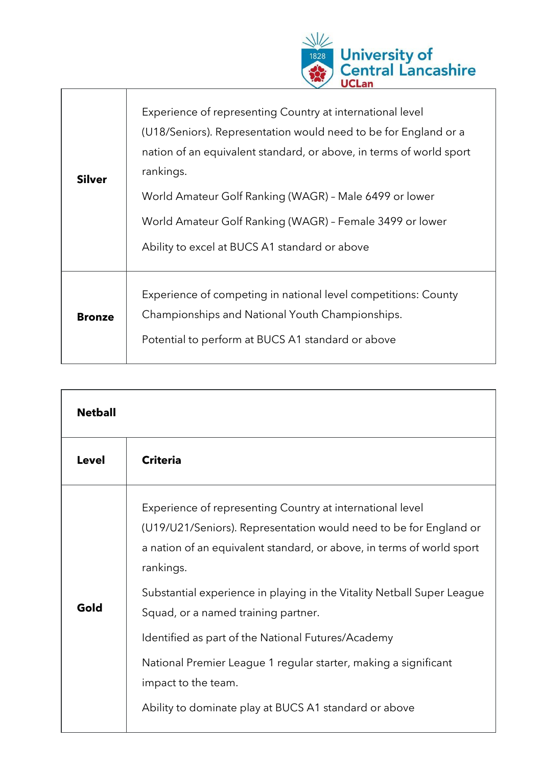

| <b>Silver</b> | Experience of representing Country at international level<br>(U18/Seniors). Representation would need to be for England or a<br>nation of an equivalent standard, or above, in terms of world sport<br>rankings.<br>World Amateur Golf Ranking (WAGR) - Male 6499 or lower<br>World Amateur Golf Ranking (WAGR) - Female 3499 or lower<br>Ability to excel at BUCS A1 standard or above |
|---------------|-----------------------------------------------------------------------------------------------------------------------------------------------------------------------------------------------------------------------------------------------------------------------------------------------------------------------------------------------------------------------------------------|
| <b>Bronze</b> | Experience of competing in national level competitions: County<br>Championships and National Youth Championships.<br>Potential to perform at BUCS A1 standard or above                                                                                                                                                                                                                  |

| <b>Netball</b> |                                                                                                                                                                                                                                                                                                                                                                                                                                                                                                                                                |
|----------------|------------------------------------------------------------------------------------------------------------------------------------------------------------------------------------------------------------------------------------------------------------------------------------------------------------------------------------------------------------------------------------------------------------------------------------------------------------------------------------------------------------------------------------------------|
| <b>Level</b>   | <b>Criteria</b>                                                                                                                                                                                                                                                                                                                                                                                                                                                                                                                                |
| Gold           | Experience of representing Country at international level<br>(U19/U21/Seniors). Representation would need to be for England or<br>a nation of an equivalent standard, or above, in terms of world sport<br>rankings.<br>Substantial experience in playing in the Vitality Netball Super League<br>Squad, or a named training partner.<br>Identified as part of the National Futures/Academy<br>National Premier League 1 regular starter, making a significant<br>impact to the team.<br>Ability to dominate play at BUCS A1 standard or above |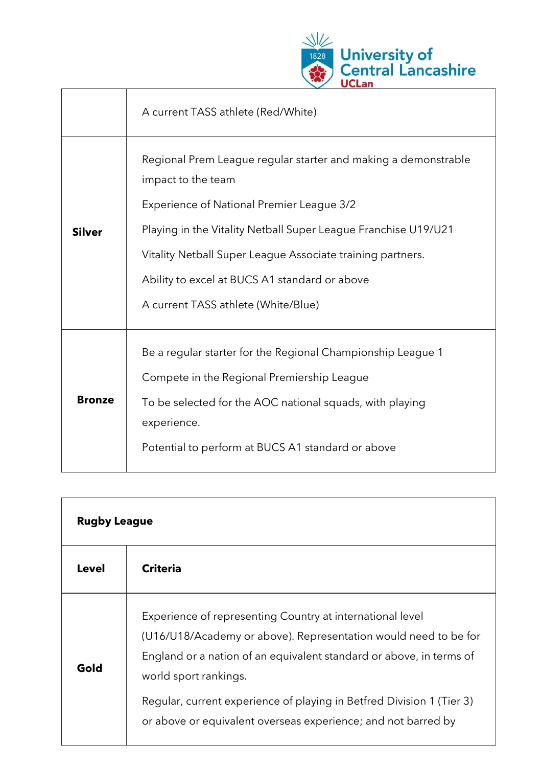

|               | A current TASS athlete (Red/White)                                                                                                                                                                                                                                                                                                                               |
|---------------|------------------------------------------------------------------------------------------------------------------------------------------------------------------------------------------------------------------------------------------------------------------------------------------------------------------------------------------------------------------|
| <b>Silver</b> | Regional Prem League regular starter and making a demonstrable<br>impact to the team<br><b>Experience of National Premier League 3/2</b><br>Playing in the Vitality Netball Super League Franchise U19/U21<br>Vitality Netball Super League Associate training partners.<br>Ability to excel at BUCS A1 standard or above<br>A current TASS athlete (White/Blue) |
| <b>Bronze</b> | Be a regular starter for the Regional Championship League 1<br>Compete in the Regional Premiership League<br>To be selected for the AOC national squads, with playing<br>experience.<br>Potential to perform at BUCS A1 standard or above                                                                                                                        |

| <b>Rugby League</b> |                                                                                                                                                                                                                                                                                                                                                                        |
|---------------------|------------------------------------------------------------------------------------------------------------------------------------------------------------------------------------------------------------------------------------------------------------------------------------------------------------------------------------------------------------------------|
| <b>Level</b>        | <b>Criteria</b>                                                                                                                                                                                                                                                                                                                                                        |
| Gold                | Experience of representing Country at international level<br>(U16/U18/Academy or above). Representation would need to be for<br>England or a nation of an equivalent standard or above, in terms of<br>world sport rankings.<br>Regular, current experience of playing in Betfred Division 1 (Tier 3)<br>or above or equivalent overseas experience; and not barred by |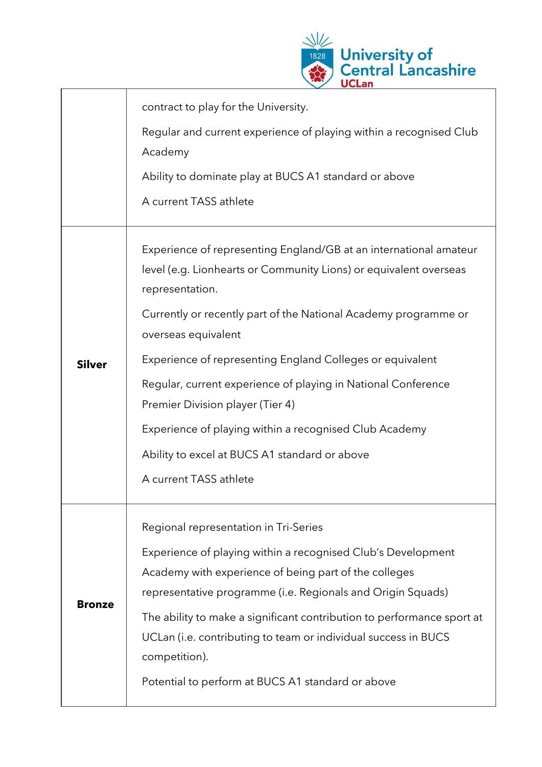

|               | contract to play for the University.                                                                                                                                                                                                                                                                                                                                                                                                                                            |
|---------------|---------------------------------------------------------------------------------------------------------------------------------------------------------------------------------------------------------------------------------------------------------------------------------------------------------------------------------------------------------------------------------------------------------------------------------------------------------------------------------|
|               | Regular and current experience of playing within a recognised Club<br>Academy                                                                                                                                                                                                                                                                                                                                                                                                   |
|               | Ability to dominate play at BUCS A1 standard or above                                                                                                                                                                                                                                                                                                                                                                                                                           |
|               | A current TASS athlete                                                                                                                                                                                                                                                                                                                                                                                                                                                          |
| <b>Silver</b> | Experience of representing England/GB at an international amateur<br>level (e.g. Lionhearts or Community Lions) or equivalent overseas<br>representation.<br>Currently or recently part of the National Academy programme or<br>overseas equivalent<br>Experience of representing England Colleges or equivalent<br>Regular, current experience of playing in National Conference<br>Premier Division player (Tier 4)<br>Experience of playing within a recognised Club Academy |
|               | Ability to excel at BUCS A1 standard or above<br>A current TASS athlete                                                                                                                                                                                                                                                                                                                                                                                                         |
| <b>Bronze</b> | Regional representation in Tri-Series                                                                                                                                                                                                                                                                                                                                                                                                                                           |
|               | Experience of playing within a recognised Club's Development<br>Academy with experience of being part of the colleges<br>representative programme (i.e. Regionals and Origin Squads)                                                                                                                                                                                                                                                                                            |
|               | The ability to make a significant contribution to performance sport at<br>UCLan (i.e. contributing to team or individual success in BUCS<br>competition).                                                                                                                                                                                                                                                                                                                       |
|               | Potential to perform at BUCS A1 standard or above                                                                                                                                                                                                                                                                                                                                                                                                                               |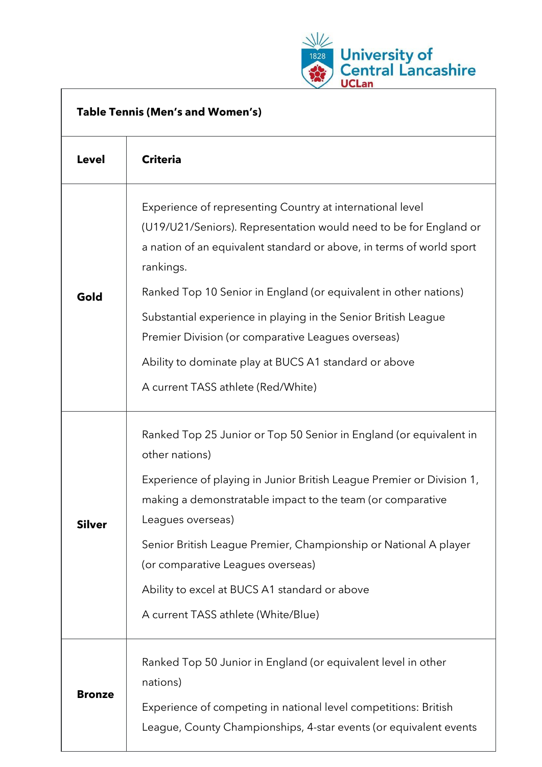

| <b>Table Tennis (Men's and Women's)</b> |                                                                                                                                                                                                                     |  |
|-----------------------------------------|---------------------------------------------------------------------------------------------------------------------------------------------------------------------------------------------------------------------|--|
| <b>Level</b>                            | <b>Criteria</b>                                                                                                                                                                                                     |  |
| Gold                                    | Experience of representing Country at international level<br>(U19/U21/Seniors). Representation would need to be for England or<br>a nation of an equivalent standard or above, in terms of world sport<br>rankings. |  |
|                                         | Ranked Top 10 Senior in England (or equivalent in other nations)<br>Substantial experience in playing in the Senior British League<br>Premier Division (or comparative Leagues overseas)                            |  |
|                                         | Ability to dominate play at BUCS A1 standard or above<br>A current TASS athlete (Red/White)                                                                                                                         |  |
| <b>Silver</b>                           | Ranked Top 25 Junior or Top 50 Senior in England (or equivalent in<br>other nations)                                                                                                                                |  |
|                                         | Experience of playing in Junior British League Premier or Division 1,<br>making a demonstratable impact to the team (or comparative<br>Leagues overseas)                                                            |  |
|                                         | Senior British League Premier, Championship or National A player<br>(or comparative Leagues overseas)                                                                                                               |  |
|                                         | Ability to excel at BUCS A1 standard or above<br>A current TASS athlete (White/Blue)                                                                                                                                |  |
| <b>Bronze</b>                           | Ranked Top 50 Junior in England (or equivalent level in other<br>nations)                                                                                                                                           |  |
|                                         | Experience of competing in national level competitions: British<br>League, County Championships, 4-star events (or equivalent events                                                                                |  |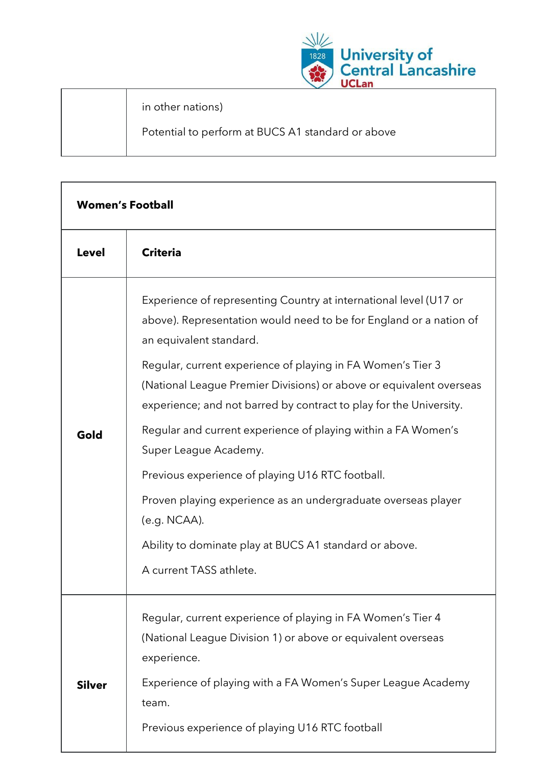

in other nations)

 $\Gamma$ 

Potential to perform at BUCS A1 standard or above

| <b>Women's Football</b> |                                                                                                                                                                                                                                                                                                                                                                                                                                                                                                                                                                                                                                                                                                    |  |
|-------------------------|----------------------------------------------------------------------------------------------------------------------------------------------------------------------------------------------------------------------------------------------------------------------------------------------------------------------------------------------------------------------------------------------------------------------------------------------------------------------------------------------------------------------------------------------------------------------------------------------------------------------------------------------------------------------------------------------------|--|
| <b>Level</b>            | <b>Criteria</b>                                                                                                                                                                                                                                                                                                                                                                                                                                                                                                                                                                                                                                                                                    |  |
| Gold                    | Experience of representing Country at international level (U17 or<br>above). Representation would need to be for England or a nation of<br>an equivalent standard.<br>Regular, current experience of playing in FA Women's Tier 3<br>(National League Premier Divisions) or above or equivalent overseas<br>experience; and not barred by contract to play for the University.<br>Regular and current experience of playing within a FA Women's<br>Super League Academy.<br>Previous experience of playing U16 RTC football.<br>Proven playing experience as an undergraduate overseas player<br>(e.g. NCAA).<br>Ability to dominate play at BUCS A1 standard or above.<br>A current TASS athlete. |  |
| <b>Silver</b>           | Regular, current experience of playing in FA Women's Tier 4<br>(National League Division 1) or above or equivalent overseas<br>experience.<br>Experience of playing with a FA Women's Super League Academy                                                                                                                                                                                                                                                                                                                                                                                                                                                                                         |  |
|                         | team.<br>Previous experience of playing U16 RTC football                                                                                                                                                                                                                                                                                                                                                                                                                                                                                                                                                                                                                                           |  |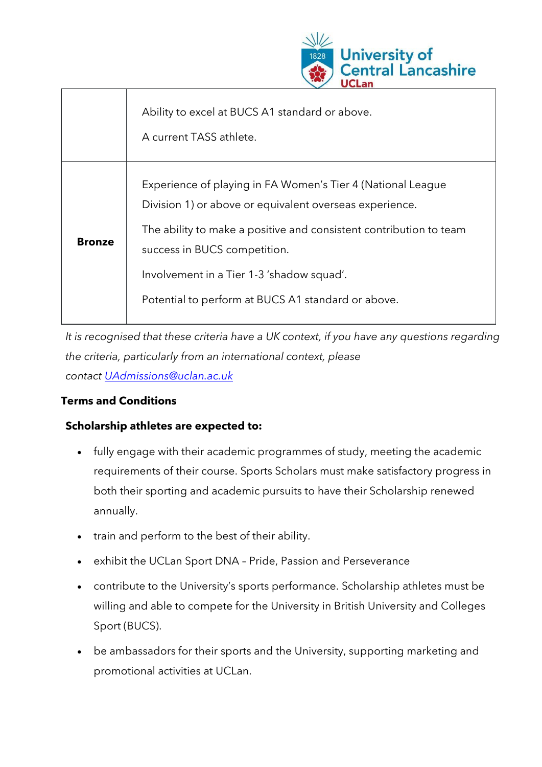

|               | Ability to excel at BUCS A1 standard or above.<br>A current TASS athlete.                                                                                                                                                                                                                                                       |
|---------------|---------------------------------------------------------------------------------------------------------------------------------------------------------------------------------------------------------------------------------------------------------------------------------------------------------------------------------|
| <b>Bronze</b> | Experience of playing in FA Women's Tier 4 (National League<br>Division 1) or above or equivalent overseas experience.<br>The ability to make a positive and consistent contribution to team<br>success in BUCS competition.<br>Involvement in a Tier 1-3 'shadow squad'.<br>Potential to perform at BUCS A1 standard or above. |

*It is recognised that these criteria have a UK context, if you have any questions regarding the criteria, particularly from an international context, please contact [UAdmissions@uclan.ac.uk](mailto:UAdmissions@uclan.ac.uk)*

## **Terms and Conditions**

### **Scholarship athletes are expected to:**

- fully engage with their academic programmes of study, meeting the academic requirements of their course. Sports Scholars must make satisfactory progress in both their sporting and academic pursuits to have their Scholarship renewed annually.
- train and perform to the best of their ability.
- exhibit the UCLan Sport DNA Pride, Passion and Perseverance
- contribute to the University's sports performance. Scholarship athletes must be willing and able to compete for the University in British University and Colleges Sport (BUCS).
- be ambassadors for their sports and the University, supporting marketing and promotional activities at UCLan.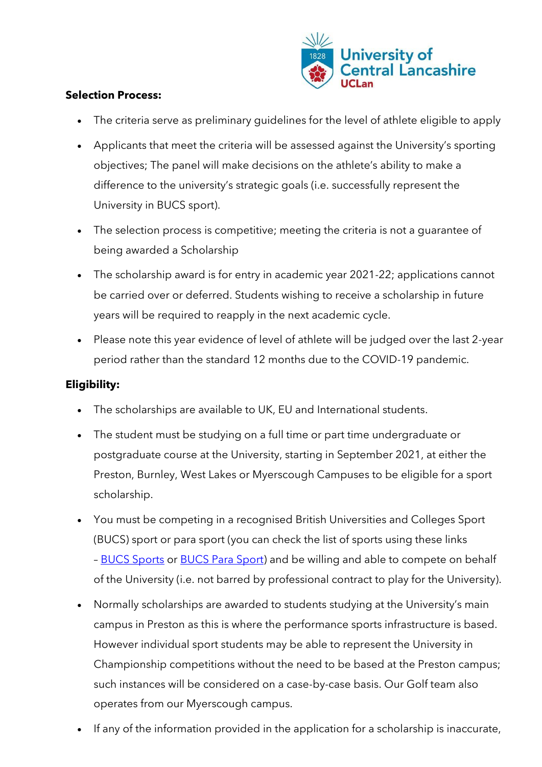

### **Selection Process:**

- The criteria serve as preliminary quidelines for the level of athlete eligible to apply
- Applicants that meet the criteria will be assessed against the University's sporting objectives; The panel will make decisions on the athlete's ability to make a difference to the university's strategic goals (i.e. successfully represent the University in BUCS sport).
- The selection process is competitive; meeting the criteria is not a guarantee of being awarded a Scholarship
- The scholarship award is for entry in academic year 2021-22; applications cannot be carried over or deferred. Students wishing to receive a scholarship in future years will be required to reapply in the next academic cycle.
- Please note this year evidence of level of athlete will be judged over the last 2-year period rather than the standard 12 months due to the COVID-19 pandemic.

### **Eligibility:**

- The scholarships are available to UK, EU and International students.
- The student must be studying on a full time or part time undergraduate or postgraduate course at the University, starting in September 2021, at either the Preston, Burnley, West Lakes or Myerscough Campuses to be eligible for a sport scholarship.
- You must be competing in a recognised British Universities and Colleges Sport (BUCS) sport or para sport (you can check the list of sports using these links - [BUCS Sports](https://www.bucs.org.uk/compete/sports.html) or [BUCS Para Sport\)](https://www.bucs.org.uk/compete/sports/para-sport.html) and be willing and able to compete on behalf of the University (i.e. not barred by professional contract to play for the University).
- Normally scholarships are awarded to students studying at the University's main campus in Preston as this is where the performance sports infrastructure is based. However individual sport students may be able to represent the University in Championship competitions without the need to be based at the Preston campus; such instances will be considered on a case-by-case basis. Our Golf team also operates from our Myerscough campus.
- If any of the information provided in the application for a scholarship is inaccurate,